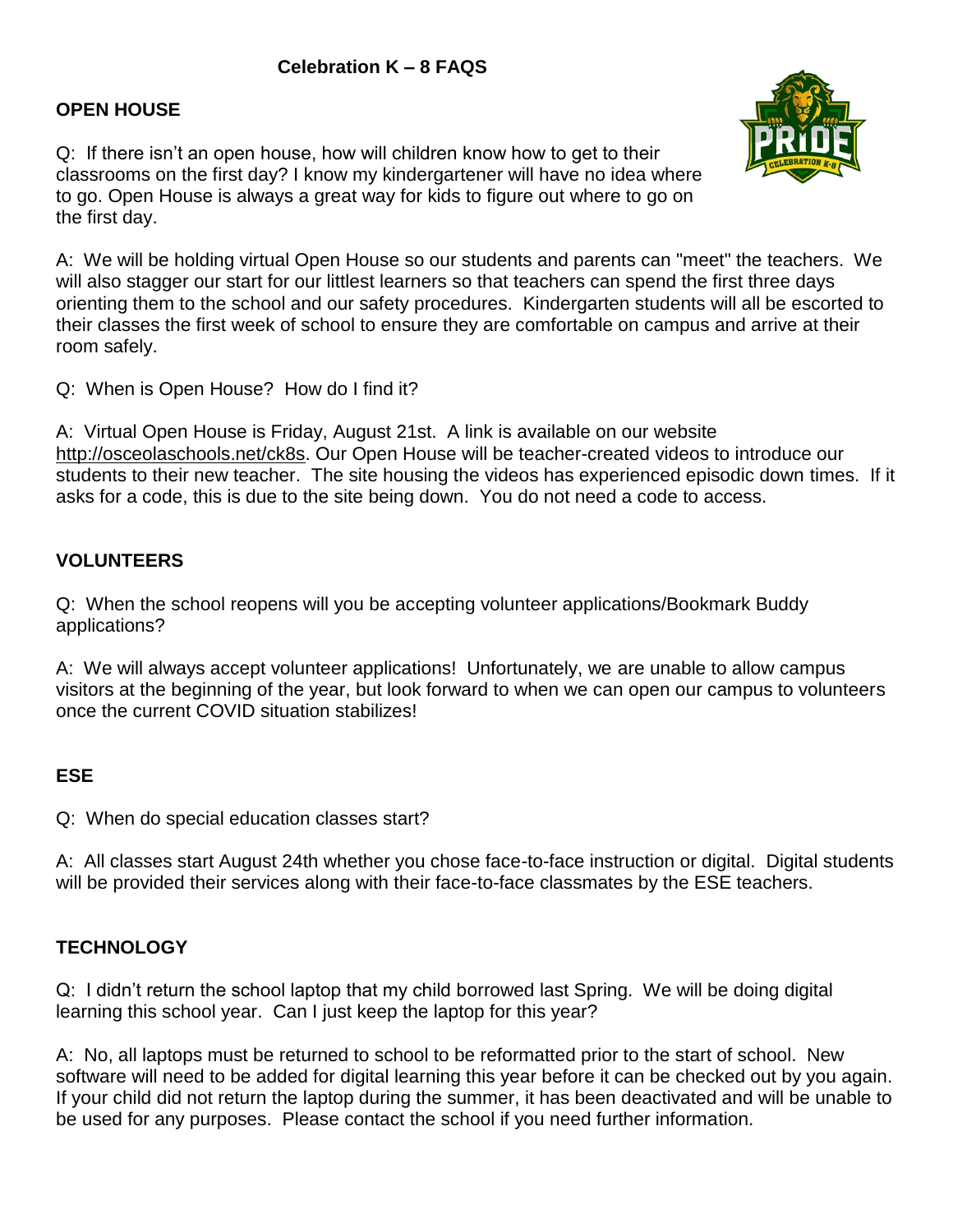# **OPEN HOUSE**

Q: If there isn't an open house, how will children know how to get to their classrooms on the first day? I know my kindergartener will have no idea where to go. Open House is always a great way for kids to figure out where to go on the first day.



A: We will be holding virtual Open House so our students and parents can "meet" the teachers. We will also stagger our start for our littlest learners so that teachers can spend the first three days orienting them to the school and our safety procedures. Kindergarten students will all be escorted to their classes the first week of school to ensure they are comfortable on campus and arrive at their room safely.

Q: When is Open House? How do I find it?

A: Virtual Open House is Friday, August 21st. A link is available on our website [http://osceolaschools.net/ck8s.](http://osceolaschools.net/ck8s) Our Open House will be teacher-created videos to introduce our students to their new teacher. The site housing the videos has experienced episodic down times. If it asks for a code, this is due to the site being down. You do not need a code to access.

## **VOLUNTEERS**

Q: When the school reopens will you be accepting volunteer applications/Bookmark Buddy applications?

A: We will always accept volunteer applications! Unfortunately, we are unable to allow campus visitors at the beginning of the year, but look forward to when we can open our campus to volunteers once the current COVID situation stabilizes!

## **ESE**

Q: When do special education classes start?

A: All classes start August 24th whether you chose face-to-face instruction or digital. Digital students will be provided their services along with their face-to-face classmates by the ESE teachers.

## **TECHNOLOGY**

Q: I didn't return the school laptop that my child borrowed last Spring. We will be doing digital learning this school year. Can I just keep the laptop for this year?

A: No, all laptops must be returned to school to be reformatted prior to the start of school. New software will need to be added for digital learning this year before it can be checked out by you again. If your child did not return the laptop during the summer, it has been deactivated and will be unable to be used for any purposes. Please contact the school if you need further information.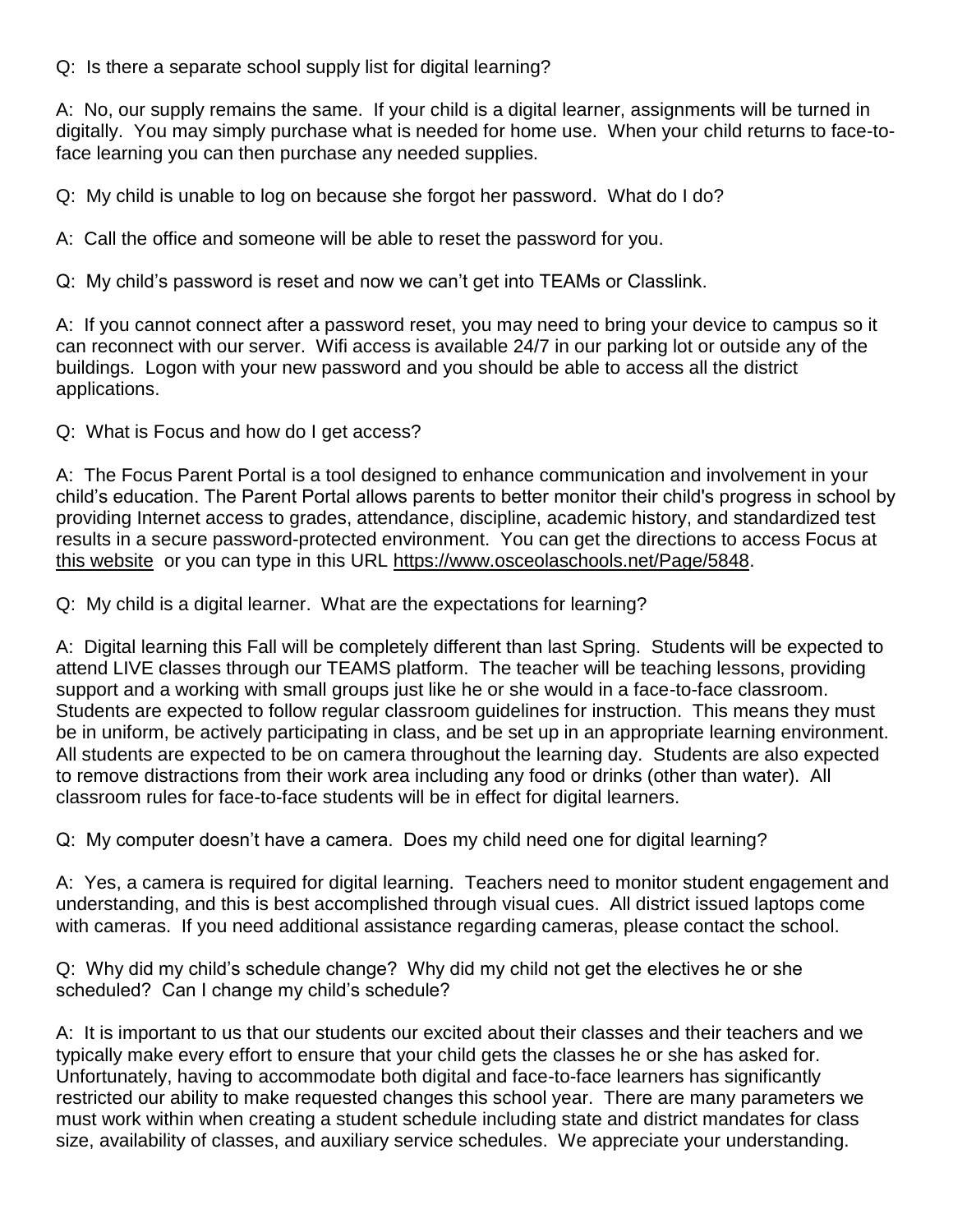Q: Is there a separate school supply list for digital learning?

A: No, our supply remains the same. If your child is a digital learner, assignments will be turned in digitally. You may simply purchase what is needed for home use. When your child returns to face-toface learning you can then purchase any needed supplies.

Q: My child is unable to log on because she forgot her password. What do I do?

A: Call the office and someone will be able to reset the password for you.

Q: My child's password is reset and now we can't get into TEAMs or Classlink.

A: If you cannot connect after a password reset, you may need to bring your device to campus so it can reconnect with our server. Wifi access is available 24/7 in our parking lot or outside any of the buildings. Logon with your new password and you should be able to access all the district applications.

Q: What is Focus and how do I get access?

A: The Focus Parent Portal is a tool designed to enhance communication and involvement in your child's education. The Parent Portal allows parents to better monitor their child's progress in school by providing Internet access to grades, attendance, discipline, academic history, and standardized test results in a secure password-protected environment. You can get the directions to access Focus at [this website](https://www.osceolaschools.net/domain/4441?fbclid=IwAR0yVJTovl4YBxM2UZ3-EZTq7GCTTQ-jKJ4cAT-9NmaWzKFcL0KfV7powQE) or you can type in this URL [https://www.osceolaschools.net/Page/5848.](https://www.osceolaschools.net/Page/5848)

Q: My child is a digital learner. What are the expectations for learning?

A: Digital learning this Fall will be completely different than last Spring. Students will be expected to attend LIVE classes through our TEAMS platform. The teacher will be teaching lessons, providing support and a working with small groups just like he or she would in a face-to-face classroom. Students are expected to follow regular classroom guidelines for instruction. This means they must be in uniform, be actively participating in class, and be set up in an appropriate learning environment. All students are expected to be on camera throughout the learning day. Students are also expected to remove distractions from their work area including any food or drinks (other than water). All classroom rules for face-to-face students will be in effect for digital learners.

Q: My computer doesn't have a camera. Does my child need one for digital learning?

A: Yes, a camera is required for digital learning. Teachers need to monitor student engagement and understanding, and this is best accomplished through visual cues. All district issued laptops come with cameras. If you need additional assistance regarding cameras, please contact the school.

Q: Why did my child's schedule change? Why did my child not get the electives he or she scheduled? Can I change my child's schedule?

A: It is important to us that our students our excited about their classes and their teachers and we typically make every effort to ensure that your child gets the classes he or she has asked for. Unfortunately, having to accommodate both digital and face-to-face learners has significantly restricted our ability to make requested changes this school year. There are many parameters we must work within when creating a student schedule including state and district mandates for class size, availability of classes, and auxiliary service schedules. We appreciate your understanding.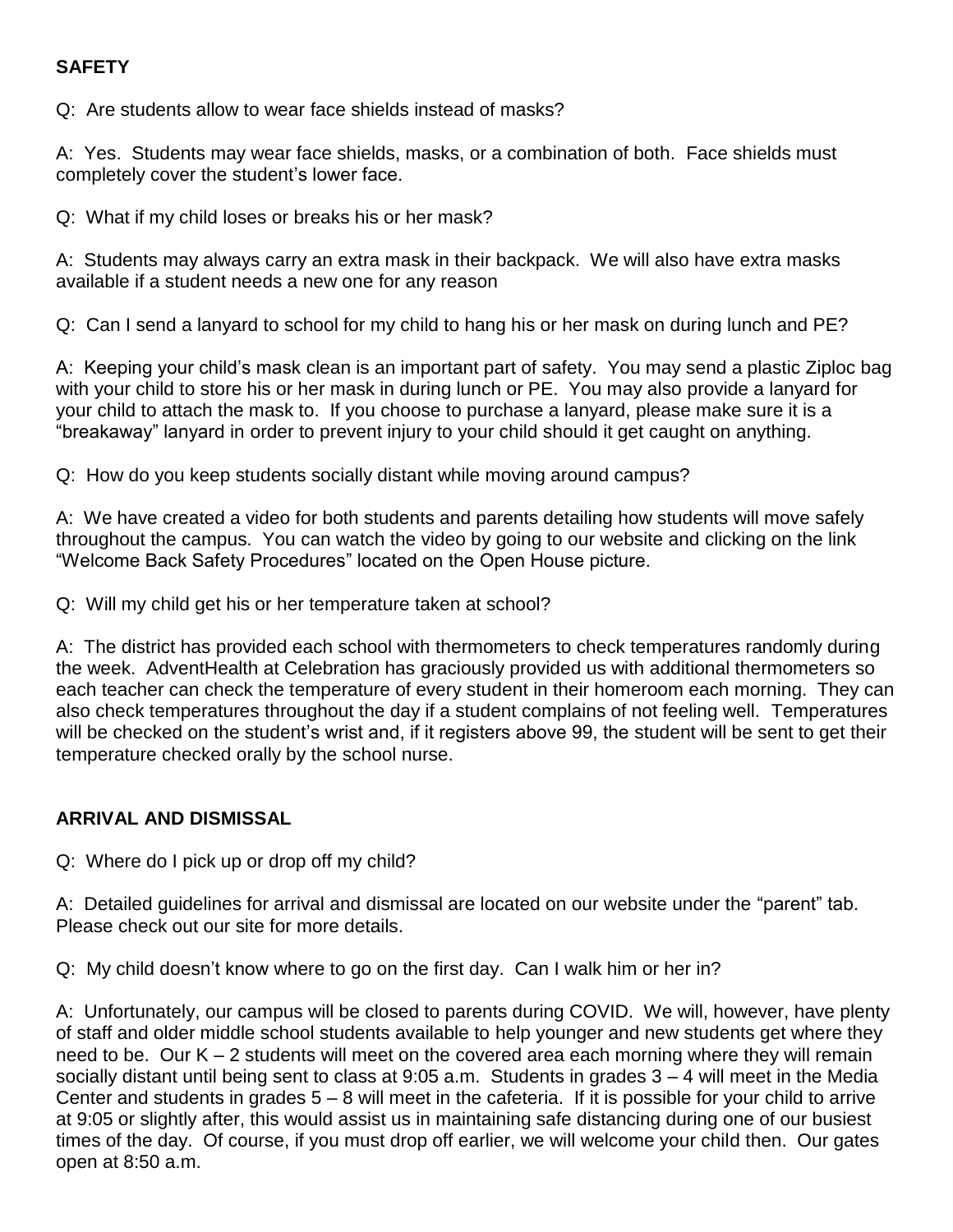#### **SAFETY**

Q: Are students allow to wear face shields instead of masks?

A: Yes. Students may wear face shields, masks, or a combination of both. Face shields must completely cover the student's lower face.

Q: What if my child loses or breaks his or her mask?

A: Students may always carry an extra mask in their backpack. We will also have extra masks available if a student needs a new one for any reason

Q: Can I send a lanyard to school for my child to hang his or her mask on during lunch and PE?

A: Keeping your child's mask clean is an important part of safety. You may send a plastic Ziploc bag with your child to store his or her mask in during lunch or PE. You may also provide a lanyard for your child to attach the mask to. If you choose to purchase a lanyard, please make sure it is a "breakaway" lanyard in order to prevent injury to your child should it get caught on anything.

Q: How do you keep students socially distant while moving around campus?

A: We have created a video for both students and parents detailing how students will move safely throughout the campus. You can watch the video by going to our website and clicking on the link "Welcome Back Safety Procedures" located on the Open House picture.

Q: Will my child get his or her temperature taken at school?

A: The district has provided each school with thermometers to check temperatures randomly during the week. AdventHealth at Celebration has graciously provided us with additional thermometers so each teacher can check the temperature of every student in their homeroom each morning. They can also check temperatures throughout the day if a student complains of not feeling well. Temperatures will be checked on the student's wrist and, if it registers above 99, the student will be sent to get their temperature checked orally by the school nurse.

#### **ARRIVAL AND DISMISSAL**

Q: Where do I pick up or drop off my child?

A: Detailed guidelines for arrival and dismissal are located on our website under the "parent" tab. Please check out our site for more details.

Q: My child doesn't know where to go on the first day. Can I walk him or her in?

A: Unfortunately, our campus will be closed to parents during COVID. We will, however, have plenty of staff and older middle school students available to help younger and new students get where they need to be. Our K – 2 students will meet on the covered area each morning where they will remain socially distant until being sent to class at 9:05 a.m. Students in grades 3 – 4 will meet in the Media Center and students in grades 5 – 8 will meet in the cafeteria. If it is possible for your child to arrive at 9:05 or slightly after, this would assist us in maintaining safe distancing during one of our busiest times of the day. Of course, if you must drop off earlier, we will welcome your child then. Our gates open at 8:50 a.m.